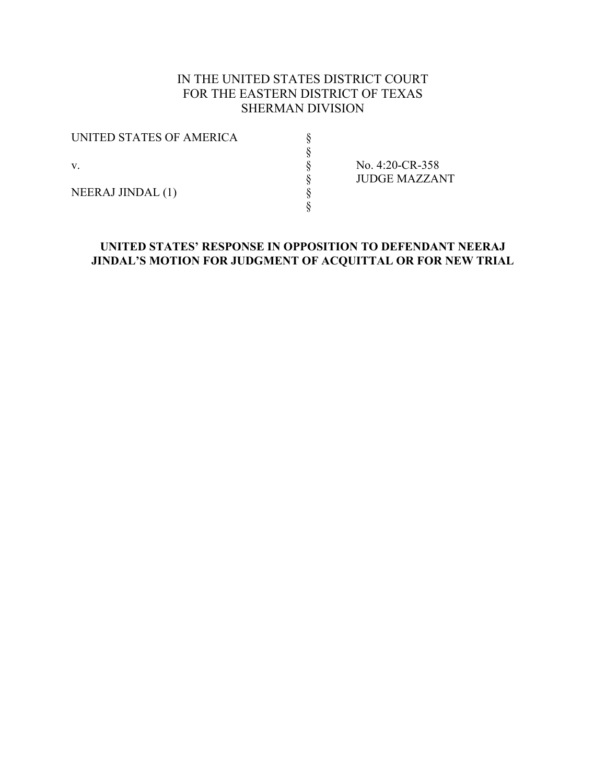# IN THE UNITED STATES DISTRICT COURT FOR THE EASTERN DISTRICT OF TEXAS SHERMAN DIVISION

| UNITED STATES OF AMERICA |  |
|--------------------------|--|
|                          |  |
| $\mathbf{V}$ .           |  |
|                          |  |
| <b>NEERAJ JINDAL (1)</b> |  |
|                          |  |

No. 4:20-CR-358 § JUDGE MAZZANT

### **UNITED STATES' RESPONSE IN OPPOSITION TO DEFENDANT NEERAJ JINDAL'S MOTION FOR JUDGMENT OF ACQUITTAL OR FOR NEW TRIAL**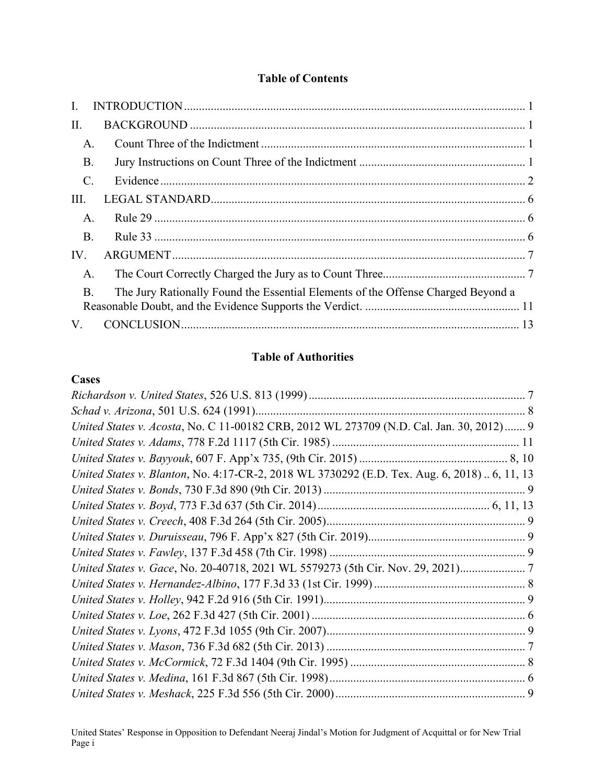# **Table of Contents**

| $\mathbf{I}$ .  |                                                                                  |  |
|-----------------|----------------------------------------------------------------------------------|--|
| II.             |                                                                                  |  |
| A.              |                                                                                  |  |
| <b>B.</b>       |                                                                                  |  |
| $\mathcal{C}$ . |                                                                                  |  |
| III.            |                                                                                  |  |
| A.              |                                                                                  |  |
| <b>B.</b>       |                                                                                  |  |
| IV.             |                                                                                  |  |
| A.              |                                                                                  |  |
| $\bf{B}$        | The Jury Rationally Found the Essential Elements of the Offense Charged Beyond a |  |
|                 |                                                                                  |  |
| V.              |                                                                                  |  |

## **Table of Authorities**

### **Cases**

| United States v. Acosta, No. C 11-00182 CRB, 2012 WL 273709 (N.D. Cal. Jan. 30, 2012) 9      |  |
|----------------------------------------------------------------------------------------------|--|
|                                                                                              |  |
|                                                                                              |  |
| United States v. Blanton, No. 4:17-CR-2, 2018 WL 3730292 (E.D. Tex. Aug. 6, 2018)  6, 11, 13 |  |
|                                                                                              |  |
|                                                                                              |  |
|                                                                                              |  |
|                                                                                              |  |
|                                                                                              |  |
| United States v. Gace, No. 20-40718, 2021 WL 5579273 (5th Cir. Nov. 29, 2021)                |  |
|                                                                                              |  |
|                                                                                              |  |
|                                                                                              |  |
|                                                                                              |  |
|                                                                                              |  |
|                                                                                              |  |
|                                                                                              |  |
|                                                                                              |  |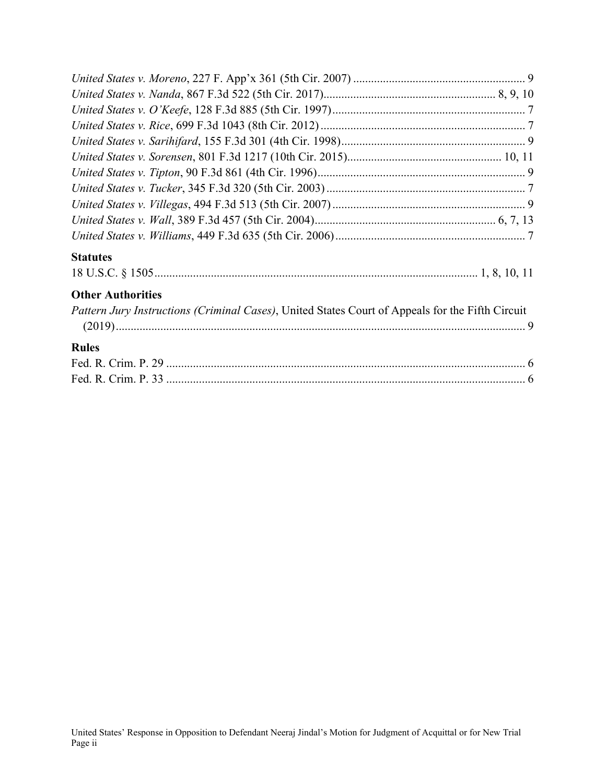| <b>Statutes</b>                                                                                  |
|--------------------------------------------------------------------------------------------------|
|                                                                                                  |
| <b>Other Authorities</b>                                                                         |
| Pattern Jury Instructions (Criminal Cases), United States Court of Appeals for the Fifth Circuit |
|                                                                                                  |
| <b>Rules</b>                                                                                     |
|                                                                                                  |
|                                                                                                  |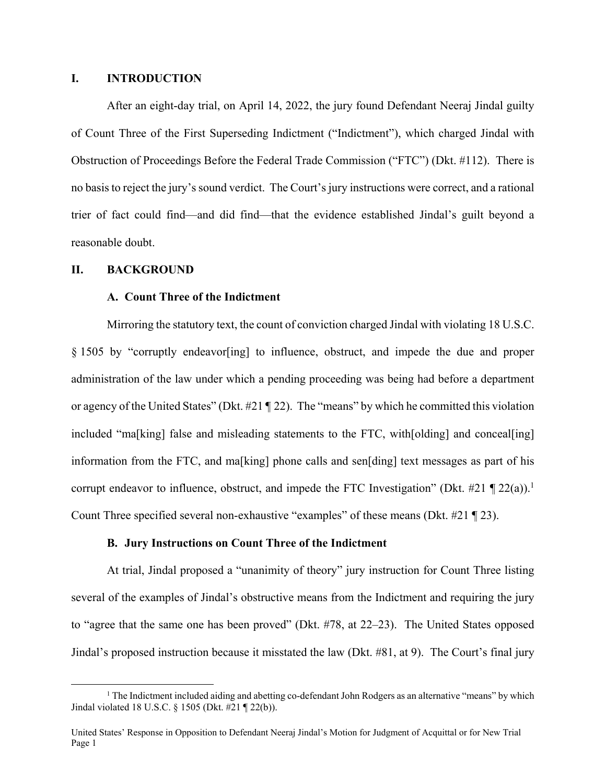### **I. INTRODUCTION**

After an eight-day trial, on April 14, 2022, the jury found Defendant Neeraj Jindal guilty of Count Three of the First Superseding Indictment ("Indictment"), which charged Jindal with Obstruction of Proceedings Before the Federal Trade Commission ("FTC") (Dkt. #112). There is no basis to reject the jury's sound verdict. The Court's jury instructions were correct, and a rational trier of fact could find—and did find—that the evidence established Jindal's guilt beyond a reasonable doubt.

#### **II. BACKGROUND**

### **A. Count Three of the Indictment**

Mirroring the statutory text, the count of conviction charged Jindal with violating 18 U.S.C. § 1505 by "corruptly endeavor[ing] to influence, obstruct, and impede the due and proper administration of the law under which a pending proceeding was being had before a department or agency of the United States" (Dkt. #21 ¶ 22). The "means" by which he committed this violation included "ma[king] false and misleading statements to the FTC, with[olding] and conceal[ing] information from the FTC, and ma[king] phone calls and sen[ding] text messages as part of his corrupt endeavor to influence, obstruct, and impede the FTC Investigation" (Dkt. #21  $\P$  22(a)).<sup>1</sup> Count Three specified several non-exhaustive "examples" of these means (Dkt. #21 ¶ 23).

#### **B. Jury Instructions on Count Three of the Indictment**

At trial, Jindal proposed a "unanimity of theory" jury instruction for Count Three listing several of the examples of Jindal's obstructive means from the Indictment and requiring the jury to "agree that the same one has been proved" (Dkt. #78, at 22–23). The United States opposed Jindal's proposed instruction because it misstated the law (Dkt. #81, at 9). The Court's final jury

 $\begin{array}{c|c}\n\hline\n\text{1}\n\end{array}$  $1$  The Indictment included aiding and abetting co-defendant John Rodgers as an alternative "means" by which Jindal violated 18 U.S.C. § 1505 (Dkt. #21 ¶ 22(b)).

United States' Response in Opposition to Defendant Neeraj Jindal's Motion for Judgment of Acquittal or for New Trial Page 1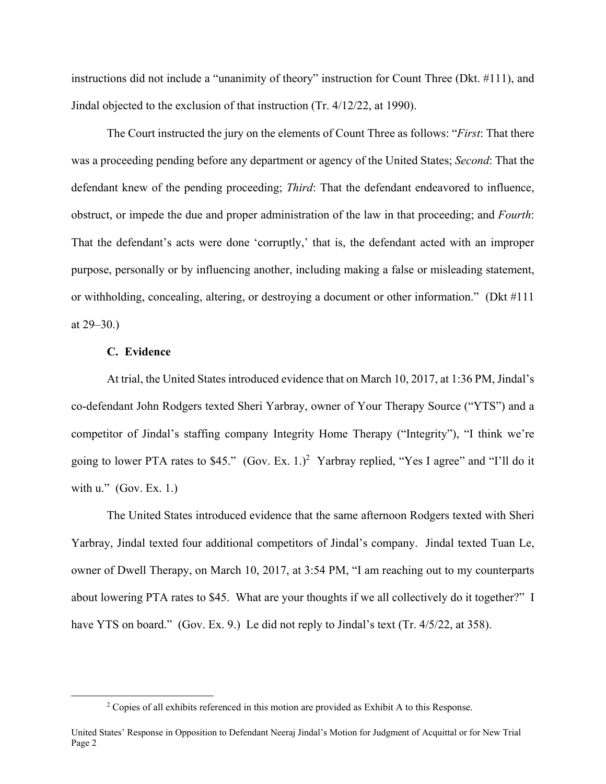instructions did not include a "unanimity of theory" instruction for Count Three (Dkt. #111), and Jindal objected to the exclusion of that instruction (Tr. 4/12/22, at 1990).

The Court instructed the jury on the elements of Count Three as follows: "*First*: That there was a proceeding pending before any department or agency of the United States; *Second*: That the defendant knew of the pending proceeding; *Third*: That the defendant endeavored to influence, obstruct, or impede the due and proper administration of the law in that proceeding; and *Fourth*: That the defendant's acts were done 'corruptly,' that is, the defendant acted with an improper purpose, personally or by influencing another, including making a false or misleading statement, or withholding, concealing, altering, or destroying a document or other information." (Dkt #111 at 29–30.)

#### **C. Evidence**

At trial, the United States introduced evidence that on March 10, 2017, at 1:36 PM, Jindal's co-defendant John Rodgers texted Sheri Yarbray, owner of Your Therapy Source ("YTS") and a competitor of Jindal's staffing company Integrity Home Therapy ("Integrity"), "I think we're going to lower PTA rates to \$45." (Gov. Ex. 1.)<sup>2</sup> Yarbray replied, "Yes I agree" and "I'll do it with u."  $(Gov. Ex. 1.)$ 

The United States introduced evidence that the same afternoon Rodgers texted with Sheri Yarbray, Jindal texted four additional competitors of Jindal's company. Jindal texted Tuan Le, owner of Dwell Therapy, on March 10, 2017, at 3:54 PM, "I am reaching out to my counterparts about lowering PTA rates to \$45. What are your thoughts if we all collectively do it together?" I have YTS on board." (Gov. Ex. 9.) Le did not reply to Jindal's text (Tr. 4/5/22, at 358).

 $\overline{\phantom{a}}$ <sup>2</sup> Copies of all exhibits referenced in this motion are provided as Exhibit A to this Response.

United States' Response in Opposition to Defendant Neeraj Jindal's Motion for Judgment of Acquittal or for New Trial Page 2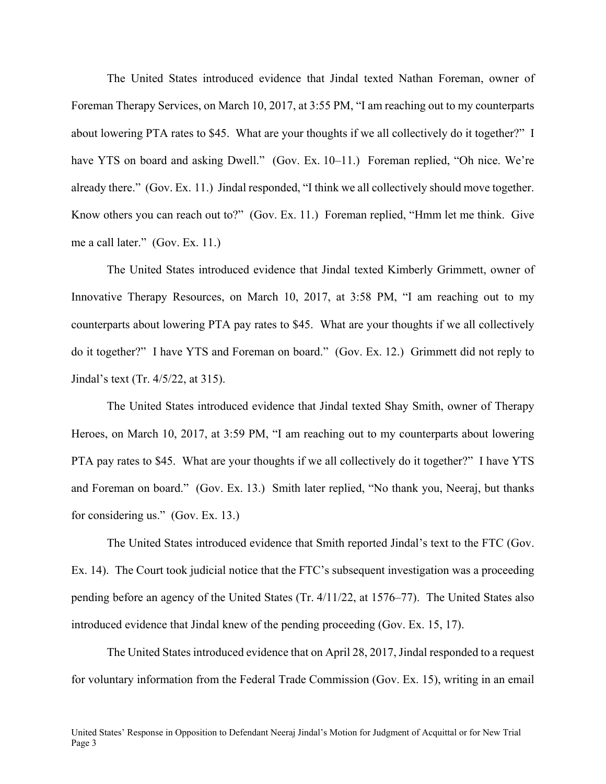The United States introduced evidence that Jindal texted Nathan Foreman, owner of Foreman Therapy Services, on March 10, 2017, at 3:55 PM, "I am reaching out to my counterparts about lowering PTA rates to \$45. What are your thoughts if we all collectively do it together?" I have YTS on board and asking Dwell." (Gov. Ex. 10–11.) Foreman replied, "Oh nice. We're already there." (Gov. Ex. 11.) Jindal responded, "I think we all collectively should move together. Know others you can reach out to?" (Gov. Ex. 11.) Foreman replied, "Hmm let me think. Give me a call later." (Gov. Ex. 11.)

The United States introduced evidence that Jindal texted Kimberly Grimmett, owner of Innovative Therapy Resources, on March 10, 2017, at 3:58 PM, "I am reaching out to my counterparts about lowering PTA pay rates to \$45. What are your thoughts if we all collectively do it together?" I have YTS and Foreman on board." (Gov. Ex. 12.) Grimmett did not reply to Jindal's text (Tr. 4/5/22, at 315).

The United States introduced evidence that Jindal texted Shay Smith, owner of Therapy Heroes, on March 10, 2017, at 3:59 PM, "I am reaching out to my counterparts about lowering PTA pay rates to \$45. What are your thoughts if we all collectively do it together?" I have YTS and Foreman on board." (Gov. Ex. 13.) Smith later replied, "No thank you, Neeraj, but thanks for considering us." (Gov. Ex. 13.)

The United States introduced evidence that Smith reported Jindal's text to the FTC (Gov. Ex. 14). The Court took judicial notice that the FTC's subsequent investigation was a proceeding pending before an agency of the United States (Tr. 4/11/22, at 1576–77). The United States also introduced evidence that Jindal knew of the pending proceeding (Gov. Ex. 15, 17).

The United States introduced evidence that on April 28, 2017, Jindal responded to a request for voluntary information from the Federal Trade Commission (Gov. Ex. 15), writing in an email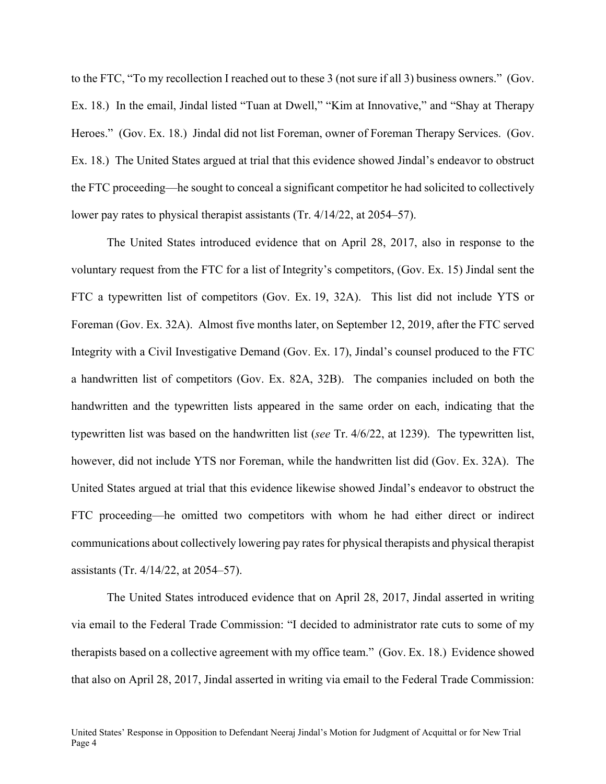to the FTC, "To my recollection I reached out to these 3 (not sure if all 3) business owners." (Gov. Ex. 18.) In the email, Jindal listed "Tuan at Dwell," "Kim at Innovative," and "Shay at Therapy Heroes." (Gov. Ex. 18.) Jindal did not list Foreman, owner of Foreman Therapy Services. (Gov. Ex. 18.) The United States argued at trial that this evidence showed Jindal's endeavor to obstruct the FTC proceeding—he sought to conceal a significant competitor he had solicited to collectively lower pay rates to physical therapist assistants (Tr. 4/14/22, at 2054–57).

The United States introduced evidence that on April 28, 2017, also in response to the voluntary request from the FTC for a list of Integrity's competitors, (Gov. Ex. 15) Jindal sent the FTC a typewritten list of competitors (Gov. Ex. 19, 32A). This list did not include YTS or Foreman (Gov. Ex. 32A). Almost five months later, on September 12, 2019, after the FTC served Integrity with a Civil Investigative Demand (Gov. Ex. 17), Jindal's counsel produced to the FTC a handwritten list of competitors (Gov. Ex. 82A, 32B). The companies included on both the handwritten and the typewritten lists appeared in the same order on each, indicating that the typewritten list was based on the handwritten list (*see* Tr. 4/6/22, at 1239). The typewritten list, however, did not include YTS nor Foreman, while the handwritten list did (Gov. Ex. 32A). The United States argued at trial that this evidence likewise showed Jindal's endeavor to obstruct the FTC proceeding—he omitted two competitors with whom he had either direct or indirect communications about collectively lowering pay rates for physical therapists and physical therapist assistants (Tr. 4/14/22, at 2054–57).

The United States introduced evidence that on April 28, 2017, Jindal asserted in writing via email to the Federal Trade Commission: "I decided to administrator rate cuts to some of my therapists based on a collective agreement with my office team." (Gov. Ex. 18.) Evidence showed that also on April 28, 2017, Jindal asserted in writing via email to the Federal Trade Commission: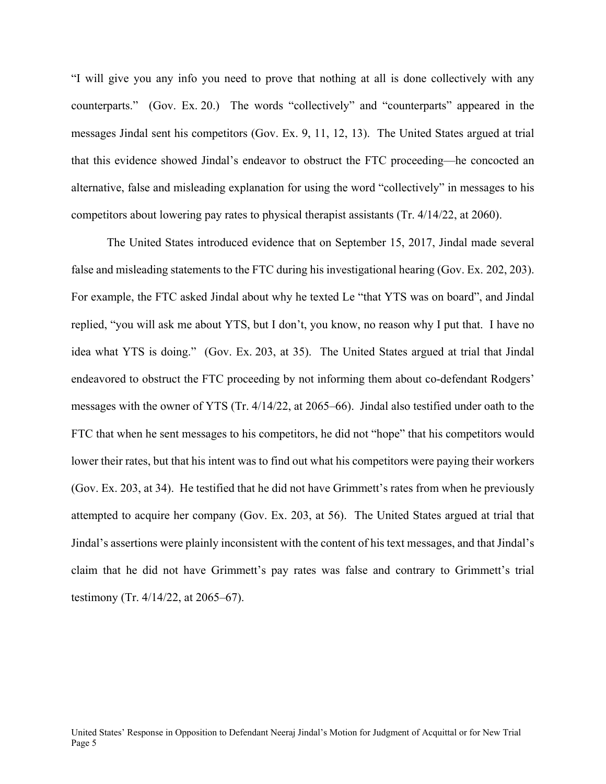"I will give you any info you need to prove that nothing at all is done collectively with any counterparts." (Gov. Ex. 20.) The words "collectively" and "counterparts" appeared in the messages Jindal sent his competitors (Gov. Ex. 9, 11, 12, 13). The United States argued at trial that this evidence showed Jindal's endeavor to obstruct the FTC proceeding—he concocted an alternative, false and misleading explanation for using the word "collectively" in messages to his competitors about lowering pay rates to physical therapist assistants (Tr. 4/14/22, at 2060).

The United States introduced evidence that on September 15, 2017, Jindal made several false and misleading statements to the FTC during his investigational hearing (Gov. Ex. 202, 203). For example, the FTC asked Jindal about why he texted Le "that YTS was on board", and Jindal replied, "you will ask me about YTS, but I don't, you know, no reason why I put that. I have no idea what YTS is doing." (Gov. Ex. 203, at 35). The United States argued at trial that Jindal endeavored to obstruct the FTC proceeding by not informing them about co-defendant Rodgers' messages with the owner of YTS (Tr. 4/14/22, at 2065–66). Jindal also testified under oath to the FTC that when he sent messages to his competitors, he did not "hope" that his competitors would lower their rates, but that his intent was to find out what his competitors were paying their workers (Gov. Ex. 203, at 34). He testified that he did not have Grimmett's rates from when he previously attempted to acquire her company (Gov. Ex. 203, at 56). The United States argued at trial that Jindal's assertions were plainly inconsistent with the content of his text messages, and that Jindal's claim that he did not have Grimmett's pay rates was false and contrary to Grimmett's trial testimony (Tr. 4/14/22, at 2065–67).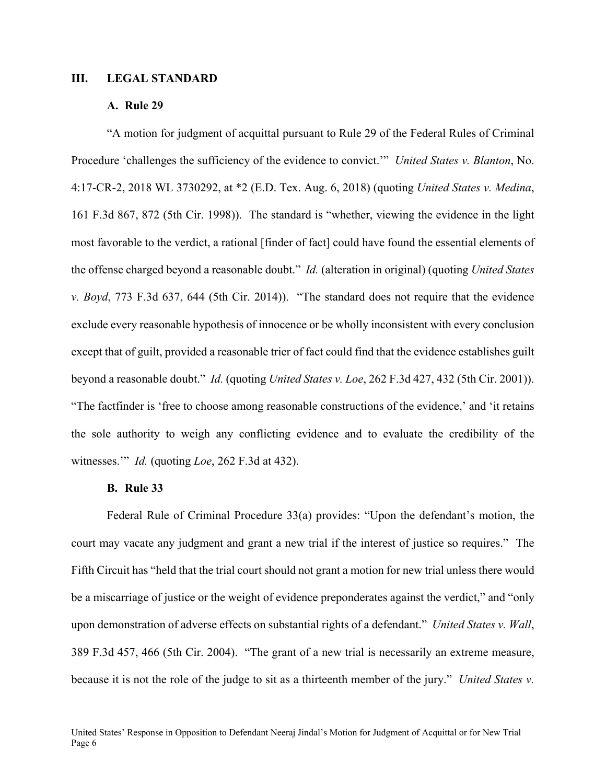### **III. LEGAL STANDARD**

### **A. Rule 29**

"A motion for judgment of acquittal pursuant to Rule 29 of the Federal Rules of Criminal Procedure 'challenges the sufficiency of the evidence to convict.'" *United States v. Blanton*, No. 4:17-CR-2, 2018 WL 3730292, at \*2 (E.D. Tex. Aug. 6, 2018) (quoting *United States v. Medina*, 161 F.3d 867, 872 (5th Cir. 1998)). The standard is "whether, viewing the evidence in the light most favorable to the verdict, a rational [finder of fact] could have found the essential elements of the offense charged beyond a reasonable doubt." *Id.* (alteration in original) (quoting *United States v. Boyd*, 773 F.3d 637, 644 (5th Cir. 2014)). "The standard does not require that the evidence exclude every reasonable hypothesis of innocence or be wholly inconsistent with every conclusion except that of guilt, provided a reasonable trier of fact could find that the evidence establishes guilt beyond a reasonable doubt." *Id.* (quoting *United States v. Loe*, 262 F.3d 427, 432 (5th Cir. 2001)). "The factfinder is 'free to choose among reasonable constructions of the evidence,' and 'it retains the sole authority to weigh any conflicting evidence and to evaluate the credibility of the witnesses.'" *Id.* (quoting *Loe*, 262 F.3d at 432).

#### **B. Rule 33**

Federal Rule of Criminal Procedure 33(a) provides: "Upon the defendant's motion, the court may vacate any judgment and grant a new trial if the interest of justice so requires." The Fifth Circuit has "held that the trial court should not grant a motion for new trial unless there would be a miscarriage of justice or the weight of evidence preponderates against the verdict," and "only upon demonstration of adverse effects on substantial rights of a defendant." *United States v. Wall*, 389 F.3d 457, 466 (5th Cir. 2004). "The grant of a new trial is necessarily an extreme measure, because it is not the role of the judge to sit as a thirteenth member of the jury." *United States v.*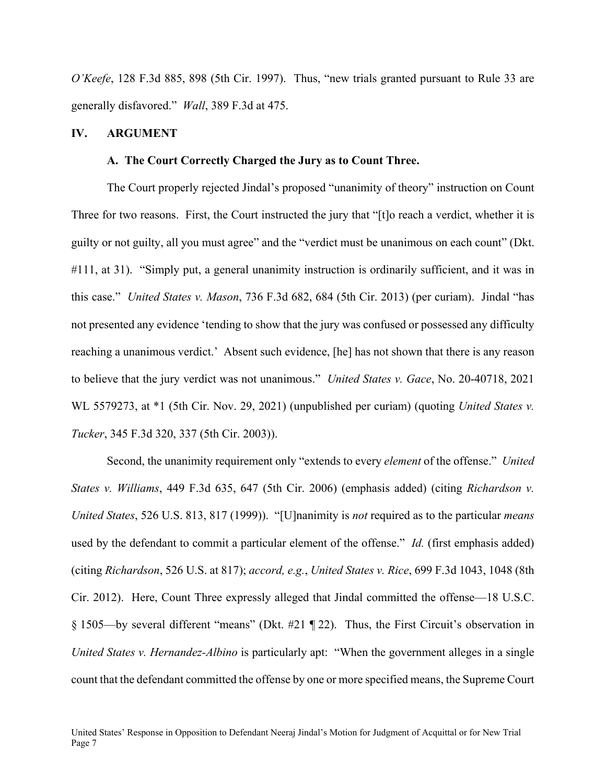*O'Keefe*, 128 F.3d 885, 898 (5th Cir. 1997). Thus, "new trials granted pursuant to Rule 33 are generally disfavored." *Wall*, 389 F.3d at 475.

### **IV. ARGUMENT**

### **A. The Court Correctly Charged the Jury as to Count Three.**

The Court properly rejected Jindal's proposed "unanimity of theory" instruction on Count Three for two reasons. First, the Court instructed the jury that "[t]o reach a verdict, whether it is guilty or not guilty, all you must agree" and the "verdict must be unanimous on each count" (Dkt. #111, at 31). "Simply put, a general unanimity instruction is ordinarily sufficient, and it was in this case." *United States v. Mason*, 736 F.3d 682, 684 (5th Cir. 2013) (per curiam). Jindal "has not presented any evidence 'tending to show that the jury was confused or possessed any difficulty reaching a unanimous verdict.' Absent such evidence, [he] has not shown that there is any reason to believe that the jury verdict was not unanimous." *United States v. Gace*, No. 20-40718, 2021 WL 5579273, at \*1 (5th Cir. Nov. 29, 2021) (unpublished per curiam) (quoting *United States v. Tucker*, 345 F.3d 320, 337 (5th Cir. 2003)).

Second, the unanimity requirement only "extends to every *element* of the offense." *United States v. Williams*, 449 F.3d 635, 647 (5th Cir. 2006) (emphasis added) (citing *Richardson v. United States*, 526 U.S. 813, 817 (1999)). "[U]nanimity is *not* required as to the particular *means* used by the defendant to commit a particular element of the offense." *Id.* (first emphasis added) (citing *Richardson*, 526 U.S. at 817); *accord, e.g.*, *United States v. Rice*, 699 F.3d 1043, 1048 (8th Cir. 2012). Here, Count Three expressly alleged that Jindal committed the offense—18 U.S.C. § 1505—by several different "means" (Dkt. #21 ¶ 22). Thus, the First Circuit's observation in *United States v. Hernandez-Albino* is particularly apt: "When the government alleges in a single count that the defendant committed the offense by one or more specified means, the Supreme Court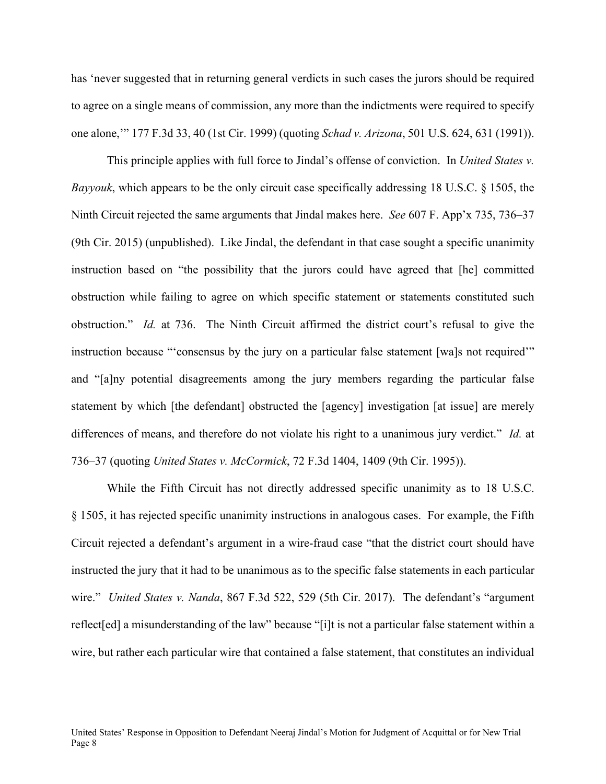has 'never suggested that in returning general verdicts in such cases the jurors should be required to agree on a single means of commission, any more than the indictments were required to specify one alone,'" 177 F.3d 33, 40 (1st Cir. 1999) (quoting *Schad v. Arizona*, 501 U.S. 624, 631 (1991)).

This principle applies with full force to Jindal's offense of conviction. In *United States v. Bayyouk*, which appears to be the only circuit case specifically addressing 18 U.S.C. § 1505, the Ninth Circuit rejected the same arguments that Jindal makes here. *See* 607 F. App'x 735, 736–37 (9th Cir. 2015) (unpublished). Like Jindal, the defendant in that case sought a specific unanimity instruction based on "the possibility that the jurors could have agreed that [he] committed obstruction while failing to agree on which specific statement or statements constituted such obstruction." *Id.* at 736. The Ninth Circuit affirmed the district court's refusal to give the instruction because "'consensus by the jury on a particular false statement [wa]s not required'" and "[a]ny potential disagreements among the jury members regarding the particular false statement by which [the defendant] obstructed the [agency] investigation [at issue] are merely differences of means, and therefore do not violate his right to a unanimous jury verdict." *Id.* at 736–37 (quoting *United States v. McCormick*, 72 F.3d 1404, 1409 (9th Cir. 1995)).

While the Fifth Circuit has not directly addressed specific unanimity as to 18 U.S.C. § 1505, it has rejected specific unanimity instructions in analogous cases. For example, the Fifth Circuit rejected a defendant's argument in a wire-fraud case "that the district court should have instructed the jury that it had to be unanimous as to the specific false statements in each particular wire." *United States v. Nanda*, 867 F.3d 522, 529 (5th Cir. 2017). The defendant's "argument reflect[ed] a misunderstanding of the law" because "[i]t is not a particular false statement within a wire, but rather each particular wire that contained a false statement, that constitutes an individual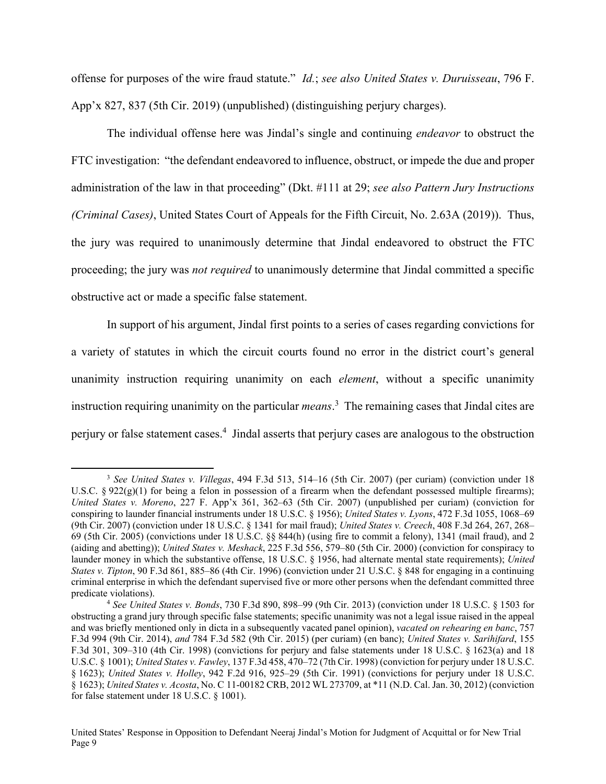offense for purposes of the wire fraud statute." *Id.*; *see also United States v. Duruisseau*, 796 F. App'x 827, 837 (5th Cir. 2019) (unpublished) (distinguishing perjury charges).

The individual offense here was Jindal's single and continuing *endeavor* to obstruct the FTC investigation: "the defendant endeavored to influence, obstruct, or impede the due and proper administration of the law in that proceeding" (Dkt. #111 at 29; *see also Pattern Jury Instructions (Criminal Cases)*, United States Court of Appeals for the Fifth Circuit, No. 2.63A (2019)). Thus, the jury was required to unanimously determine that Jindal endeavored to obstruct the FTC proceeding; the jury was *not required* to unanimously determine that Jindal committed a specific obstructive act or made a specific false statement.

In support of his argument, Jindal first points to a series of cases regarding convictions for a variety of statutes in which the circuit courts found no error in the district court's general unanimity instruction requiring unanimity on each *element*, without a specific unanimity instruction requiring unanimity on the particular *means*. 3 The remaining cases that Jindal cites are perjury or false statement cases.<sup>4</sup> Jindal asserts that perjury cases are analogous to the obstruction

 <sup>3</sup> *See United States v. Villegas*, 494 F.3d 513, 514–16 (5th Cir. 2007) (per curiam) (conviction under 18 U.S.C.  $\S 922(g)(1)$  for being a felon in possession of a firearm when the defendant possessed multiple firearms); *United States v. Moreno*, 227 F. App'x 361, 362–63 (5th Cir. 2007) (unpublished per curiam) (conviction for conspiring to launder financial instruments under 18 U.S.C. § 1956); *United States v. Lyons*, 472 F.3d 1055, 1068–69 (9th Cir. 2007) (conviction under 18 U.S.C. § 1341 for mail fraud); *United States v. Creech*, 408 F.3d 264, 267, 268– 69 (5th Cir. 2005) (convictions under 18 U.S.C. §§ 844(h) (using fire to commit a felony), 1341 (mail fraud), and 2 (aiding and abetting)); *United States v. Meshack*, 225 F.3d 556, 579–80 (5th Cir. 2000) (conviction for conspiracy to launder money in which the substantive offense, 18 U.S.C. § 1956, had alternate mental state requirements); *United States v. Tipton*, 90 F.3d 861, 885–86 (4th Cir. 1996) (conviction under 21 U.S.C. § 848 for engaging in a continuing criminal enterprise in which the defendant supervised five or more other persons when the defendant committed three predicate violations). 4 *See United States v. Bonds*, 730 F.3d 890, 898–99 (9th Cir. 2013) (conviction under 18 U.S.C. § 1503 for

obstructing a grand jury through specific false statements; specific unanimity was not a legal issue raised in the appeal and was briefly mentioned only in dicta in a subsequently vacated panel opinion), *vacated on rehearing en banc*, 757 F.3d 994 (9th Cir. 2014), *and* 784 F.3d 582 (9th Cir. 2015) (per curiam) (en banc); *United States v. Sarihifard*, 155 F.3d 301, 309–310 (4th Cir. 1998) (convictions for perjury and false statements under 18 U.S.C. § 1623(a) and 18 U.S.C. § 1001); *United States v. Fawley*, 137 F.3d 458, 470–72 (7th Cir. 1998) (conviction for perjury under 18 U.S.C. § 1623); *United States v. Holley*, 942 F.2d 916, 925–29 (5th Cir. 1991) (convictions for perjury under 18 U.S.C. § 1623); *United States v. Acosta*, No. C 11-00182 CRB, 2012 WL 273709, at \*11 (N.D. Cal. Jan. 30, 2012) (conviction for false statement under 18 U.S.C. § 1001).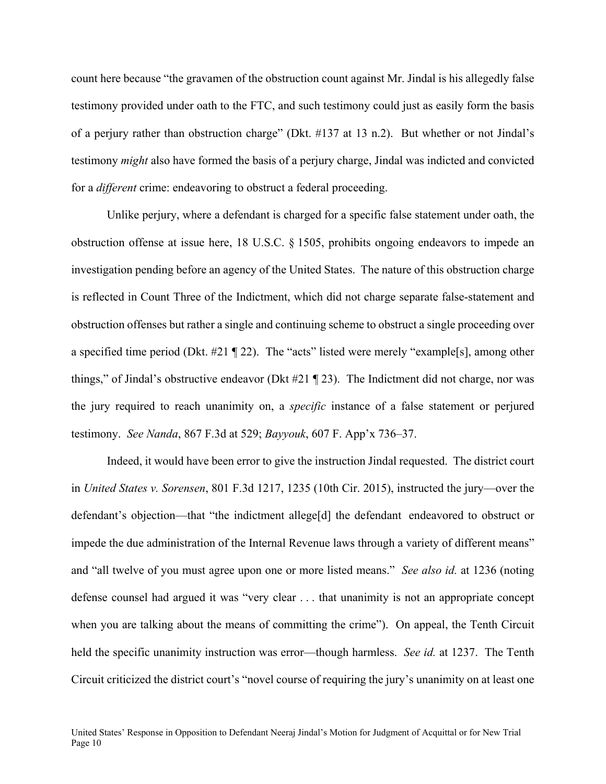count here because "the gravamen of the obstruction count against Mr. Jindal is his allegedly false testimony provided under oath to the FTC, and such testimony could just as easily form the basis of a perjury rather than obstruction charge" (Dkt. #137 at 13 n.2). But whether or not Jindal's testimony *might* also have formed the basis of a perjury charge, Jindal was indicted and convicted for a *different* crime: endeavoring to obstruct a federal proceeding.

Unlike perjury, where a defendant is charged for a specific false statement under oath, the obstruction offense at issue here, 18 U.S.C. § 1505, prohibits ongoing endeavors to impede an investigation pending before an agency of the United States. The nature of this obstruction charge is reflected in Count Three of the Indictment, which did not charge separate false-statement and obstruction offenses but rather a single and continuing scheme to obstruct a single proceeding over a specified time period (Dkt. #21 ¶ 22). The "acts" listed were merely "example[s], among other things," of Jindal's obstructive endeavor (Dkt #21 ¶ 23). The Indictment did not charge, nor was the jury required to reach unanimity on, a *specific* instance of a false statement or perjured testimony. *See Nanda*, 867 F.3d at 529; *Bayyouk*, 607 F. App'x 736–37.

Indeed, it would have been error to give the instruction Jindal requested. The district court in *United States v. Sorensen*, 801 F.3d 1217, 1235 (10th Cir. 2015), instructed the jury—over the defendant's objection—that "the indictment allege[d] the defendant endeavored to obstruct or impede the due administration of the Internal Revenue laws through a variety of different means" and "all twelve of you must agree upon one or more listed means." *See also id.* at 1236 (noting defense counsel had argued it was "very clear . . . that unanimity is not an appropriate concept when you are talking about the means of committing the crime"). On appeal, the Tenth Circuit held the specific unanimity instruction was error—though harmless. *See id.* at 1237. The Tenth Circuit criticized the district court's "novel course of requiring the jury's unanimity on at least one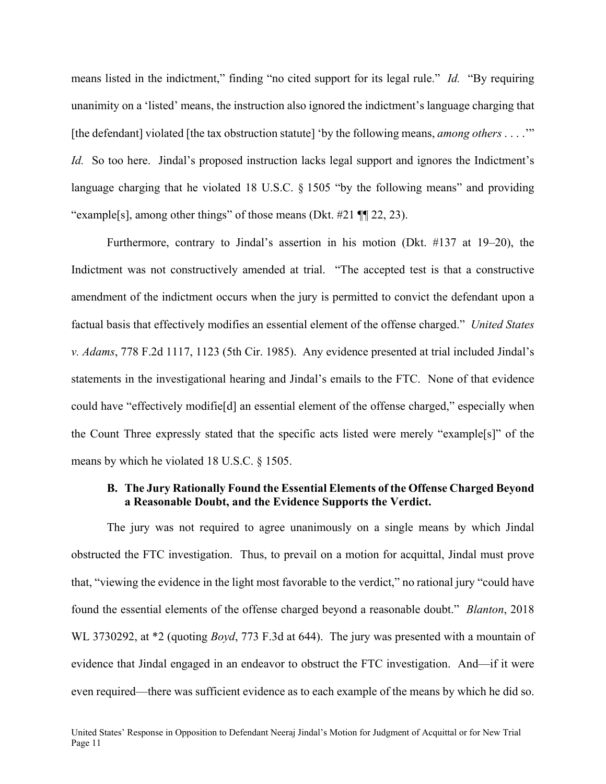means listed in the indictment," finding "no cited support for its legal rule." *Id.* "By requiring unanimity on a 'listed' means, the instruction also ignored the indictment's language charging that [the defendant] violated [the tax obstruction statute] 'by the following means, *among others* . . . .'" *Id.* So too here. Jindal's proposed instruction lacks legal support and ignores the Indictment's language charging that he violated 18 U.S.C. § 1505 "by the following means" and providing "example[s], among other things" of those means (Dkt. #21 ¶¶ 22, 23).

Furthermore, contrary to Jindal's assertion in his motion (Dkt. #137 at 19–20), the Indictment was not constructively amended at trial. "The accepted test is that a constructive amendment of the indictment occurs when the jury is permitted to convict the defendant upon a factual basis that effectively modifies an essential element of the offense charged." *United States v. Adams*, 778 F.2d 1117, 1123 (5th Cir. 1985). Any evidence presented at trial included Jindal's statements in the investigational hearing and Jindal's emails to the FTC. None of that evidence could have "effectively modifie[d] an essential element of the offense charged," especially when the Count Three expressly stated that the specific acts listed were merely "example[s]" of the means by which he violated 18 U.S.C. § 1505.

### **B. The Jury Rationally Found the Essential Elements of the Offense Charged Beyond a Reasonable Doubt, and the Evidence Supports the Verdict.**

The jury was not required to agree unanimously on a single means by which Jindal obstructed the FTC investigation. Thus, to prevail on a motion for acquittal, Jindal must prove that, "viewing the evidence in the light most favorable to the verdict," no rational jury "could have found the essential elements of the offense charged beyond a reasonable doubt." *Blanton*, 2018 WL 3730292, at \*2 (quoting *Boyd*, 773 F.3d at 644). The jury was presented with a mountain of evidence that Jindal engaged in an endeavor to obstruct the FTC investigation. And—if it were even required—there was sufficient evidence as to each example of the means by which he did so.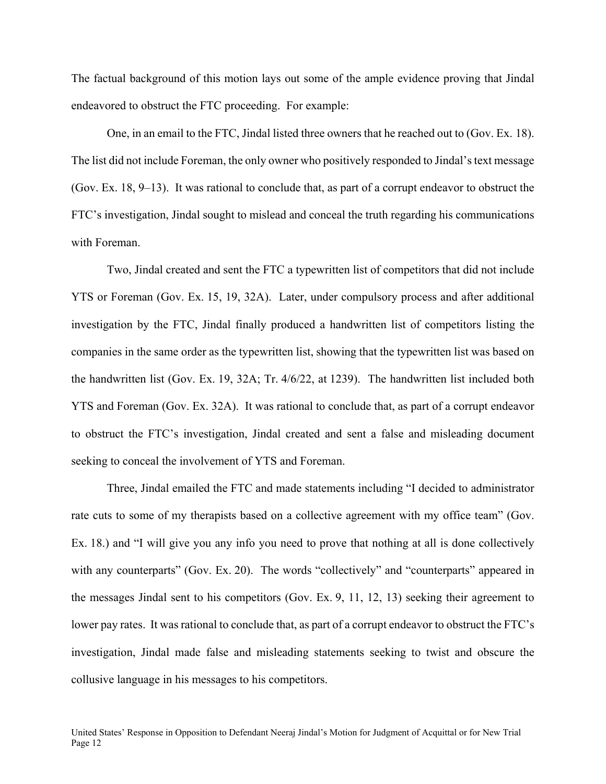The factual background of this motion lays out some of the ample evidence proving that Jindal endeavored to obstruct the FTC proceeding. For example:

One, in an email to the FTC, Jindal listed three owners that he reached out to (Gov. Ex. 18). The list did not include Foreman, the only owner who positively responded to Jindal's text message (Gov. Ex. 18, 9–13). It was rational to conclude that, as part of a corrupt endeavor to obstruct the FTC's investigation, Jindal sought to mislead and conceal the truth regarding his communications with Foreman.

Two, Jindal created and sent the FTC a typewritten list of competitors that did not include YTS or Foreman (Gov. Ex. 15, 19, 32A). Later, under compulsory process and after additional investigation by the FTC, Jindal finally produced a handwritten list of competitors listing the companies in the same order as the typewritten list, showing that the typewritten list was based on the handwritten list (Gov. Ex. 19, 32A; Tr. 4/6/22, at 1239). The handwritten list included both YTS and Foreman (Gov. Ex. 32A). It was rational to conclude that, as part of a corrupt endeavor to obstruct the FTC's investigation, Jindal created and sent a false and misleading document seeking to conceal the involvement of YTS and Foreman.

Three, Jindal emailed the FTC and made statements including "I decided to administrator rate cuts to some of my therapists based on a collective agreement with my office team" (Gov. Ex. 18.) and "I will give you any info you need to prove that nothing at all is done collectively with any counterparts" (Gov. Ex. 20). The words "collectively" and "counterparts" appeared in the messages Jindal sent to his competitors (Gov. Ex. 9, 11, 12, 13) seeking their agreement to lower pay rates. It was rational to conclude that, as part of a corrupt endeavor to obstruct the FTC's investigation, Jindal made false and misleading statements seeking to twist and obscure the collusive language in his messages to his competitors.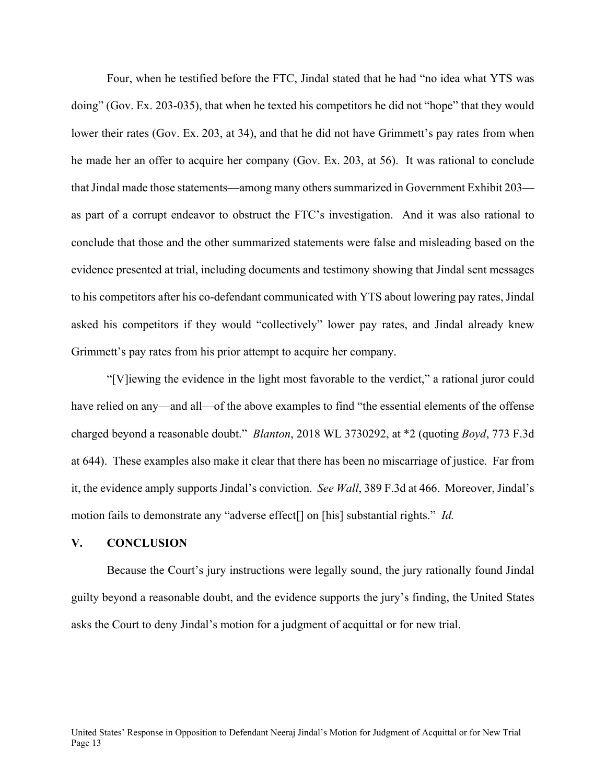Four, when he testified before the FTC, Jindal stated that he had "no idea what YTS was doing" (Gov. Ex. 203-035), that when he texted his competitors he did not "hope" that they would lower their rates (Gov. Ex. 203, at 34), and that he did not have Grimmett's pay rates from when he made her an offer to acquire her company (Gov. Ex. 203, at 56). It was rational to conclude that Jindal made those statements—among many others summarized in Government Exhibit 203 as part of a corrupt endeavor to obstruct the FTC's investigation. And it was also rational to conclude that those and the other summarized statements were false and misleading based on the evidence presented at trial, including documents and testimony showing that Jindal sent messages to his competitors after his co-defendant communicated with YTS about lowering pay rates, Jindal asked his competitors if they would "collectively" lower pay rates, and Jindal already knew Grimmett's pay rates from his prior attempt to acquire her company.

"[V]iewing the evidence in the light most favorable to the verdict," a rational juror could have relied on any—and all—of the above examples to find "the essential elements of the offense charged beyond a reasonable doubt." *Blanton*, 2018 WL 3730292, at \*2 (quoting *Boyd*, 773 F.3d at 644). These examples also make it clear that there has been no miscarriage of justice. Far from it, the evidence amply supports Jindal's conviction. *See Wall*, 389 F.3d at 466. Moreover, Jindal's motion fails to demonstrate any "adverse effect[] on [his] substantial rights." *Id.*

#### **V. CONCLUSION**

Because the Court's jury instructions were legally sound, the jury rationally found Jindal guilty beyond a reasonable doubt, and the evidence supports the jury's finding, the United States asks the Court to deny Jindal's motion for a judgment of acquittal or for new trial.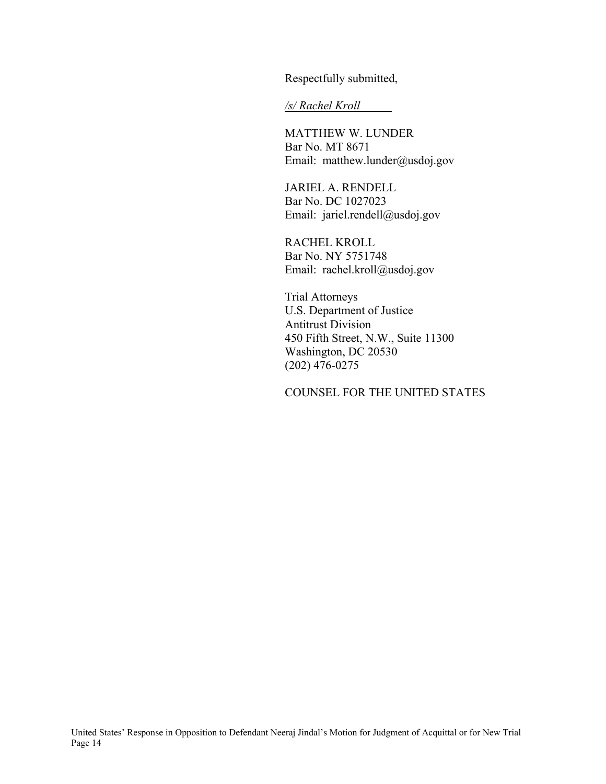Respectfully submitted,

*/s/ Rachel Kroll* 

MATTHEW W. LUNDER Bar No. MT 8671 Email: matthew.lunder@usdoj.gov

JARIEL A. RENDELL Bar No. DC 1027023 Email: jariel.rendell@usdoj.gov

RACHEL KROLL Bar No. NY 5751748 Email: rachel.kroll@usdoj.gov

Trial Attorneys U.S. Department of Justice Antitrust Division 450 Fifth Street, N.W., Suite 11300 Washington, DC 20530 (202) 476-0275

COUNSEL FOR THE UNITED STATES